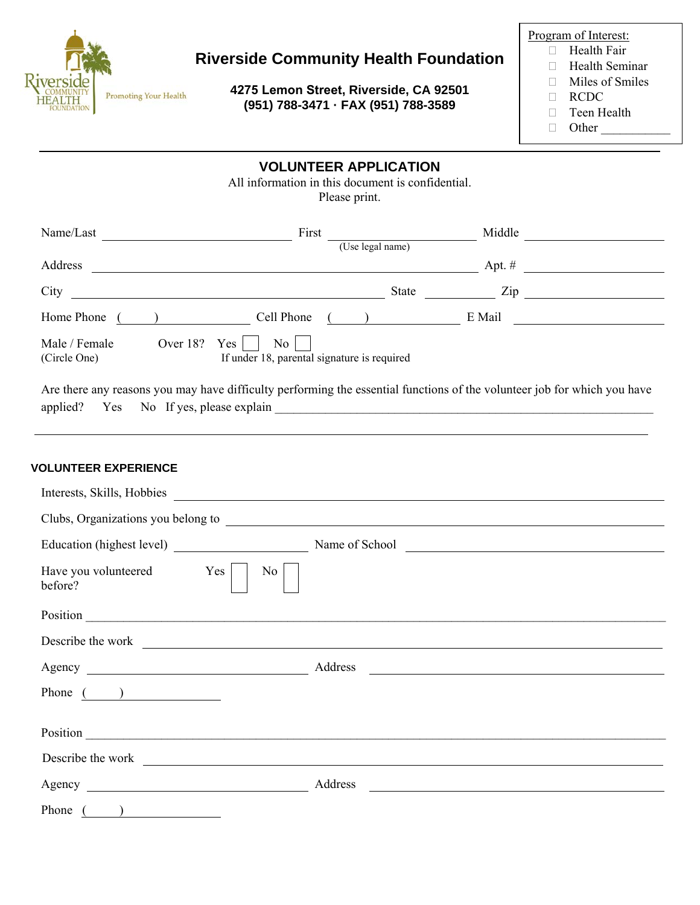

# **Riverside Community Health Foundation**

**4275 Lemon Street, Riverside, CA 92501 (951) 788-3471 · FAX (951) 788-3589**

Program of Interest:

- □ Health Fair Health Seminar
- 
- □ Miles of Smiles
- RCDC
- □ Teen Health
- $\Box$  Other

### **VOLUNTEER APPLICATION**

All information in this document is confidential. Please print.

| Name/Last                     |          | First                                                                  |                  | Middle   |  |
|-------------------------------|----------|------------------------------------------------------------------------|------------------|----------|--|
|                               |          |                                                                        | (Use legal name) |          |  |
| Address                       |          |                                                                        |                  | Apt. $#$ |  |
| City                          |          |                                                                        | State            | Zip      |  |
| Home Phone                    |          | Cell Phone                                                             |                  | E Mail   |  |
| Male / Female<br>(Circle One) | Over 18? | Yes<br>$\overline{N_0}$<br>If under 18, parental signature is required |                  |          |  |

Are there any reasons you may have difficulty performing the essential functions of the volunteer job for which you have applied? Yes No If yes, please explain

#### **VOLUNTEER EXPERIENCE**

| Interests, Skills, Hobbies                                                                                                                                                                                                     |                                                                                                                                                                                                                                      |
|--------------------------------------------------------------------------------------------------------------------------------------------------------------------------------------------------------------------------------|--------------------------------------------------------------------------------------------------------------------------------------------------------------------------------------------------------------------------------------|
|                                                                                                                                                                                                                                | Clubs, Organizations you belong to entries and the contract of the contract of the contract of the contract of the contract of the contract of the contract of the contract of the contract of the contract of the contract of       |
|                                                                                                                                                                                                                                | Name of School                                                                                                                                                                                                                       |
| Have you volunteered Yes<br>No.<br>before?                                                                                                                                                                                     |                                                                                                                                                                                                                                      |
|                                                                                                                                                                                                                                | Position <u>example and the contract of the contract of the contract of the contract of the contract of the contract of the contract of the contract of the contract of the contract of the contract of the contract of the cont</u> |
|                                                                                                                                                                                                                                | Describe the work and the contract of the state of the contract of the contract of the contract of the contract of the contract of the contract of the contract of the contract of the contract of the contract of the contrac       |
|                                                                                                                                                                                                                                | <u> 1989 - Johann Barn, fransk politik (d. 1989)</u>                                                                                                                                                                                 |
| Phone $($ $)$                                                                                                                                                                                                                  |                                                                                                                                                                                                                                      |
| Position and the contract of the contract of the contract of the contract of the contract of the contract of the contract of the contract of the contract of the contract of the contract of the contract of the contract of t |                                                                                                                                                                                                                                      |
| Describe the work                                                                                                                                                                                                              |                                                                                                                                                                                                                                      |
|                                                                                                                                                                                                                                | Address<br><u> 1989 - Johann Stein, fransk politiker (d. 1989)</u>                                                                                                                                                                   |
| Phone                                                                                                                                                                                                                          |                                                                                                                                                                                                                                      |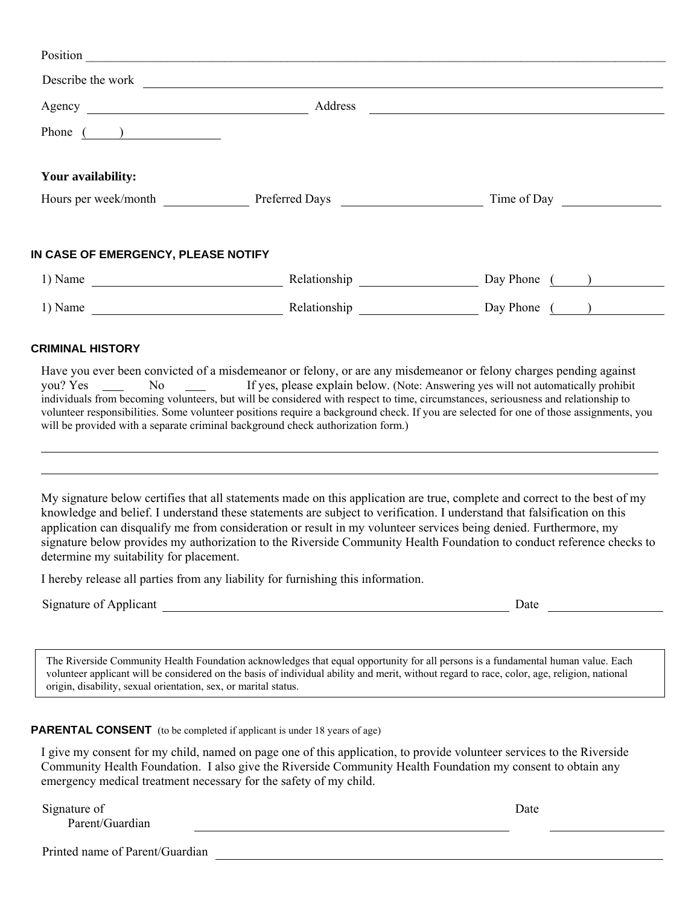| Position                                                  |                |             |
|-----------------------------------------------------------|----------------|-------------|
| Describe the work                                         |                |             |
| Agency                                                    | Address        |             |
| Phone (<br>) and the contract of $\overline{\phantom{a}}$ |                |             |
| Your availability:                                        |                |             |
| Hours per week/month                                      | Preferred Days | Time of Day |
| IN CASE OF EMERGENCY, PLEASE NOTIFY                       |                |             |

| 1) Name | Relationship | Day Phone |
|---------|--------------|-----------|
| 1) Name | Relationship | Day Phone |

#### **CRIMINAL HISTORY**

Have you ever been convicted of a misdemeanor or felony, or are any misdemeanor or felony charges pending against you? Yes No If yes, please explain below. (Note: Answering yes will not automatically prohibit individuals from becoming volunteers, but will be considered with respect to time, circumstances, seriousness and relationship to volunteer responsibilities. Some volunteer positions require a background check. If you are selected for one of those assignments, you will be provided with a separate criminal background check authorization form.)

My signature below certifies that all statements made on this application are true, complete and correct to the best of my knowledge and belief. I understand these statements are subject to verification. I understand that falsification on this application can disqualify me from consideration or result in my volunteer services being denied. Furthermore, my signature below provides my authorization to the Riverside Community Health Foundation to conduct reference checks to determine my suitability for placement.

I hereby release all parties from any liability for furnishing this information.

Signature of Applicant Date Date

The Riverside Community Health Foundation acknowledges that equal opportunity for all persons is a fundamental human value. Each volunteer applicant will be considered on the basis of individual ability and merit, without regard to race, color, age, religion, national origin, disability, sexual orientation, sex, or marital status.

**PARENTAL CONSENT** (to be completed if applicant is under 18 years of age)

I give my consent for my child, named on page one of this application, to provide volunteer services to the Riverside Community Health Foundation. I also give the Riverside Community Health Foundation my consent to obtain any emergency medical treatment necessary for the safety of my child.

Signature of Parent/Guardian Date

Printed name of Parent/Guardian